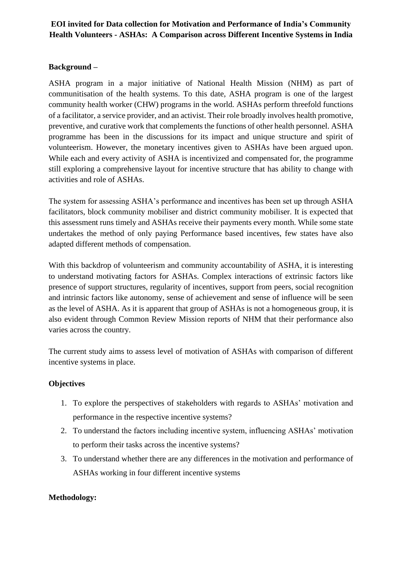# **EOI invited for Data collection for Motivation and Performance of India's Community Health Volunteers - ASHAs: A Comparison across Different Incentive Systems in India**

## **Background –**

ASHA program in a major initiative of National Health Mission (NHM) as part of communitisation of the health systems. To this date, ASHA program is one of the largest community health worker (CHW) programs in the world. ASHAs perform threefold functions of a facilitator, a service provider, and an activist. Their role broadly involves health promotive, preventive, and curative work that complements the functions of other health personnel. ASHA programme has been in the discussions for its impact and unique structure and spirit of volunteerism. However, the monetary incentives given to ASHAs have been argued upon. While each and every activity of ASHA is incentivized and compensated for, the programme still exploring a comprehensive layout for incentive structure that has ability to change with activities and role of ASHAs.

The system for assessing ASHA's performance and incentives has been set up through ASHA facilitators, block community mobiliser and district community mobiliser. It is expected that this assessment runs timely and ASHAs receive their payments every month. While some state undertakes the method of only paying Performance based incentives, few states have also adapted different methods of compensation.

With this backdrop of volunteerism and community accountability of ASHA, it is interesting to understand motivating factors for ASHAs. Complex interactions of extrinsic factors like presence of support structures, regularity of incentives, support from peers, social recognition and intrinsic factors like autonomy, sense of achievement and sense of influence will be seen as the level of ASHA. As it is apparent that group of ASHAs is not a homogeneous group, it is also evident through Common Review Mission reports of NHM that their performance also varies across the country.

The current study aims to assess level of motivation of ASHAs with comparison of different incentive systems in place.

## **Objectives**

- 1. To explore the perspectives of stakeholders with regards to ASHAs' motivation and performance in the respective incentive systems?
- 2. To understand the factors including incentive system, influencing ASHAs' motivation to perform their tasks across the incentive systems?
- 3. To understand whether there are any differences in the motivation and performance of ASHAs working in four different incentive systems

#### **Methodology:**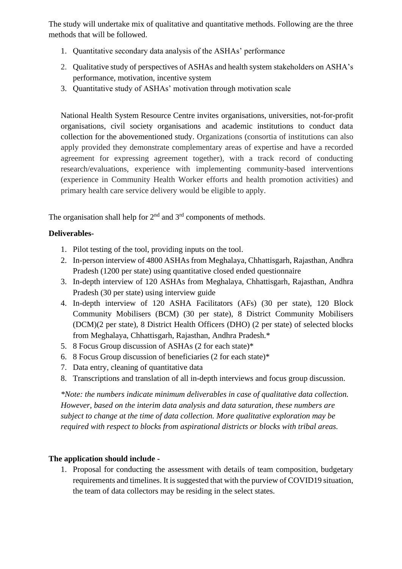The study will undertake mix of qualitative and quantitative methods. Following are the three methods that will be followed.

- 1. Quantitative secondary data analysis of the ASHAs' performance
- 2. Qualitative study of perspectives of ASHAs and health system stakeholders on ASHA's performance, motivation, incentive system
- 3. Quantitative study of ASHAs' motivation through motivation scale

National Health System Resource Centre invites organisations, universities, not-for-profit organisations, civil society organisations and academic institutions to conduct data collection for the abovementioned study. Organizations (consortia of institutions can also apply provided they demonstrate complementary areas of expertise and have a recorded agreement for expressing agreement together), with a track record of conducting research/evaluations, experience with implementing community-based interventions (experience in Community Health Worker efforts and health promotion activities) and primary health care service delivery would be eligible to apply.

The organisation shall help for 2<sup>nd</sup> and 3<sup>rd</sup> components of methods.

# **Deliverables-**

- 1. Pilot testing of the tool, providing inputs on the tool.
- 2. In-person interview of 4800 ASHAs from Meghalaya, Chhattisgarh, Rajasthan, Andhra Pradesh (1200 per state) using quantitative closed ended questionnaire
- 3. In-depth interview of 120 ASHAs from Meghalaya, Chhattisgarh, Rajasthan, Andhra Pradesh (30 per state) using interview guide
- 4. In-depth interview of 120 ASHA Facilitators (AFs) (30 per state), 120 Block Community Mobilisers (BCM) (30 per state), 8 District Community Mobilisers (DCM)(2 per state), 8 District Health Officers (DHO) (2 per state) of selected blocks from Meghalaya, Chhattisgarh, Rajasthan, Andhra Pradesh.\*
- 5. 8 Focus Group discussion of ASHAs (2 for each state)\*
- 6. 8 Focus Group discussion of beneficiaries (2 for each state)\*
- 7. Data entry, cleaning of quantitative data
- 8. Transcriptions and translation of all in-depth interviews and focus group discussion.

*\*Note: the numbers indicate minimum deliverables in case of qualitative data collection. However, based on the interim data analysis and data saturation, these numbers are subject to change at the time of data collection. More qualitative exploration may be required with respect to blocks from aspirational districts or blocks with tribal areas.* 

# **The application should include -**

1. Proposal for conducting the assessment with details of team composition, budgetary requirements and timelines. It is suggested that with the purview of COVID19 situation, the team of data collectors may be residing in the select states.